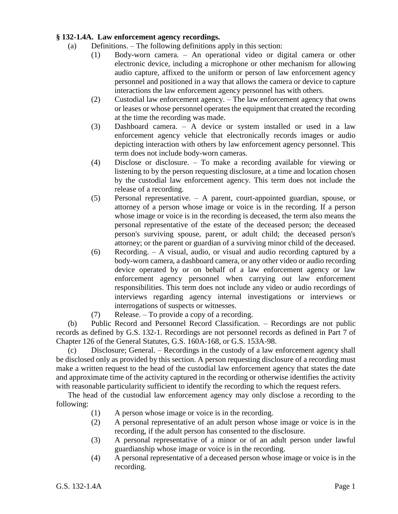## **§ 132-1.4A. Law enforcement agency recordings.**

- (a) Definitions. The following definitions apply in this section:
	- (1) Body-worn camera. An operational video or digital camera or other electronic device, including a microphone or other mechanism for allowing audio capture, affixed to the uniform or person of law enforcement agency personnel and positioned in a way that allows the camera or device to capture interactions the law enforcement agency personnel has with others.
	- (2) Custodial law enforcement agency. The law enforcement agency that owns or leases or whose personnel operates the equipment that created the recording at the time the recording was made.
	- (3) Dashboard camera. A device or system installed or used in a law enforcement agency vehicle that electronically records images or audio depicting interaction with others by law enforcement agency personnel. This term does not include body-worn cameras.
	- (4) Disclose or disclosure. To make a recording available for viewing or listening to by the person requesting disclosure, at a time and location chosen by the custodial law enforcement agency. This term does not include the release of a recording.
	- (5) Personal representative. A parent, court-appointed guardian, spouse, or attorney of a person whose image or voice is in the recording. If a person whose image or voice is in the recording is deceased, the term also means the personal representative of the estate of the deceased person; the deceased person's surviving spouse, parent, or adult child; the deceased person's attorney; or the parent or guardian of a surviving minor child of the deceased.
	- (6) Recording. A visual, audio, or visual and audio recording captured by a body-worn camera, a dashboard camera, or any other video or audio recording device operated by or on behalf of a law enforcement agency or law enforcement agency personnel when carrying out law enforcement responsibilities. This term does not include any video or audio recordings of interviews regarding agency internal investigations or interviews or interrogations of suspects or witnesses.
	- (7) Release. To provide a copy of a recording.

(b) Public Record and Personnel Record Classification. – Recordings are not public records as defined by G.S. 132-1. Recordings are not personnel records as defined in Part 7 of Chapter 126 of the General Statutes, G.S. 160A-168, or G.S. 153A-98.

(c) Disclosure; General. – Recordings in the custody of a law enforcement agency shall be disclosed only as provided by this section. A person requesting disclosure of a recording must make a written request to the head of the custodial law enforcement agency that states the date and approximate time of the activity captured in the recording or otherwise identifies the activity with reasonable particularity sufficient to identify the recording to which the request refers.

The head of the custodial law enforcement agency may only disclose a recording to the following:

- (1) A person whose image or voice is in the recording.
- (2) A personal representative of an adult person whose image or voice is in the recording, if the adult person has consented to the disclosure.
- (3) A personal representative of a minor or of an adult person under lawful guardianship whose image or voice is in the recording.
- (4) A personal representative of a deceased person whose image or voice is in the recording.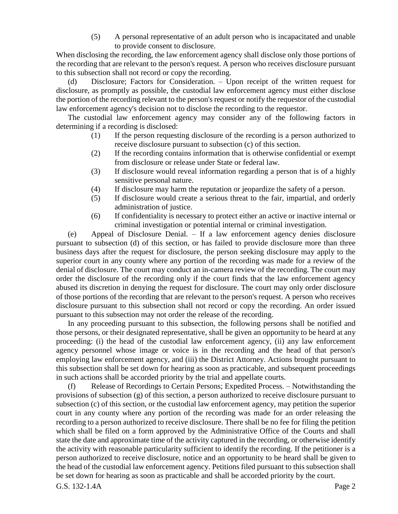(5) A personal representative of an adult person who is incapacitated and unable to provide consent to disclosure.

When disclosing the recording, the law enforcement agency shall disclose only those portions of the recording that are relevant to the person's request. A person who receives disclosure pursuant to this subsection shall not record or copy the recording.

(d) Disclosure; Factors for Consideration. – Upon receipt of the written request for disclosure, as promptly as possible, the custodial law enforcement agency must either disclose the portion of the recording relevant to the person's request or notify the requestor of the custodial law enforcement agency's decision not to disclose the recording to the requestor.

The custodial law enforcement agency may consider any of the following factors in determining if a recording is disclosed:

- (1) If the person requesting disclosure of the recording is a person authorized to receive disclosure pursuant to subsection (c) of this section.
- (2) If the recording contains information that is otherwise confidential or exempt from disclosure or release under State or federal law.
- (3) If disclosure would reveal information regarding a person that is of a highly sensitive personal nature.
- (4) If disclosure may harm the reputation or jeopardize the safety of a person.
- (5) If disclosure would create a serious threat to the fair, impartial, and orderly administration of justice.
- (6) If confidentiality is necessary to protect either an active or inactive internal or criminal investigation or potential internal or criminal investigation.

(e) Appeal of Disclosure Denial. – If a law enforcement agency denies disclosure pursuant to subsection (d) of this section, or has failed to provide disclosure more than three business days after the request for disclosure, the person seeking disclosure may apply to the superior court in any county where any portion of the recording was made for a review of the denial of disclosure. The court may conduct an in-camera review of the recording. The court may order the disclosure of the recording only if the court finds that the law enforcement agency abused its discretion in denying the request for disclosure. The court may only order disclosure of those portions of the recording that are relevant to the person's request. A person who receives disclosure pursuant to this subsection shall not record or copy the recording. An order issued pursuant to this subsection may not order the release of the recording.

In any proceeding pursuant to this subsection, the following persons shall be notified and those persons, or their designated representative, shall be given an opportunity to be heard at any proceeding: (i) the head of the custodial law enforcement agency, (ii) any law enforcement agency personnel whose image or voice is in the recording and the head of that person's employing law enforcement agency, and (iii) the District Attorney. Actions brought pursuant to this subsection shall be set down for hearing as soon as practicable, and subsequent proceedings in such actions shall be accorded priority by the trial and appellate courts.

G.S. 132-1.4A Page 2 (f) Release of Recordings to Certain Persons; Expedited Process. – Notwithstanding the provisions of subsection (g) of this section, a person authorized to receive disclosure pursuant to subsection (c) of this section, or the custodial law enforcement agency, may petition the superior court in any county where any portion of the recording was made for an order releasing the recording to a person authorized to receive disclosure. There shall be no fee for filing the petition which shall be filed on a form approved by the Administrative Office of the Courts and shall state the date and approximate time of the activity captured in the recording, or otherwise identify the activity with reasonable particularity sufficient to identify the recording. If the petitioner is a person authorized to receive disclosure, notice and an opportunity to be heard shall be given to the head of the custodial law enforcement agency. Petitions filed pursuant to this subsection shall be set down for hearing as soon as practicable and shall be accorded priority by the court.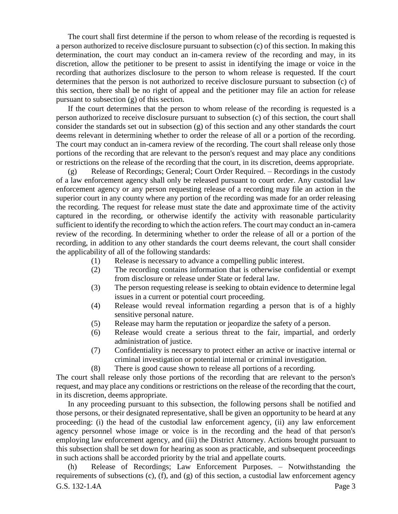The court shall first determine if the person to whom release of the recording is requested is a person authorized to receive disclosure pursuant to subsection (c) of this section. In making this determination, the court may conduct an in-camera review of the recording and may, in its discretion, allow the petitioner to be present to assist in identifying the image or voice in the recording that authorizes disclosure to the person to whom release is requested. If the court determines that the person is not authorized to receive disclosure pursuant to subsection (c) of this section, there shall be no right of appeal and the petitioner may file an action for release pursuant to subsection (g) of this section.

If the court determines that the person to whom release of the recording is requested is a person authorized to receive disclosure pursuant to subsection (c) of this section, the court shall consider the standards set out in subsection (g) of this section and any other standards the court deems relevant in determining whether to order the release of all or a portion of the recording. The court may conduct an in-camera review of the recording. The court shall release only those portions of the recording that are relevant to the person's request and may place any conditions or restrictions on the release of the recording that the court, in its discretion, deems appropriate.

(g) Release of Recordings; General; Court Order Required. – Recordings in the custody of a law enforcement agency shall only be released pursuant to court order. Any custodial law enforcement agency or any person requesting release of a recording may file an action in the superior court in any county where any portion of the recording was made for an order releasing the recording. The request for release must state the date and approximate time of the activity captured in the recording, or otherwise identify the activity with reasonable particularity sufficient to identify the recording to which the action refers. The court may conduct an in-camera review of the recording. In determining whether to order the release of all or a portion of the recording, in addition to any other standards the court deems relevant, the court shall consider the applicability of all of the following standards:

- (1) Release is necessary to advance a compelling public interest.
- (2) The recording contains information that is otherwise confidential or exempt from disclosure or release under State or federal law.
- (3) The person requesting release is seeking to obtain evidence to determine legal issues in a current or potential court proceeding.
- (4) Release would reveal information regarding a person that is of a highly sensitive personal nature.
- (5) Release may harm the reputation or jeopardize the safety of a person.
- (6) Release would create a serious threat to the fair, impartial, and orderly administration of justice.
- (7) Confidentiality is necessary to protect either an active or inactive internal or criminal investigation or potential internal or criminal investigation.
- (8) There is good cause shown to release all portions of a recording.

The court shall release only those portions of the recording that are relevant to the person's request, and may place any conditions or restrictions on the release of the recording that the court, in its discretion, deems appropriate.

In any proceeding pursuant to this subsection, the following persons shall be notified and those persons, or their designated representative, shall be given an opportunity to be heard at any proceeding: (i) the head of the custodial law enforcement agency, (ii) any law enforcement agency personnel whose image or voice is in the recording and the head of that person's employing law enforcement agency, and (iii) the District Attorney. Actions brought pursuant to this subsection shall be set down for hearing as soon as practicable, and subsequent proceedings in such actions shall be accorded priority by the trial and appellate courts.

G.S. 132-1.4A Page 3 (h) Release of Recordings; Law Enforcement Purposes. – Notwithstanding the requirements of subsections (c), (f), and (g) of this section, a custodial law enforcement agency